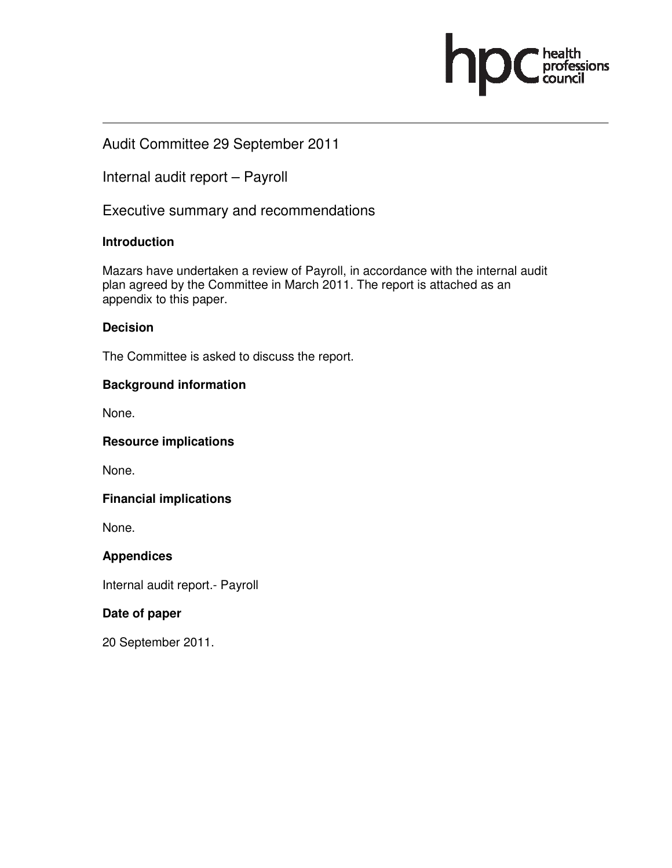

# Audit Committee 29 September 2011

Internal audit report – Payroll

Executive summary and recommendations

## **Introduction**

Mazars have undertaken a review of Payroll, in accordance with the internal audit plan agreed by the Committee in March 2011. The report is attached as an appendix to this paper.

### **Decision**

The Committee is asked to discuss the report.

### **Background information**

None.

#### **Resource implications**

None.

### **Financial implications**

None.

## **Appendices**

Internal audit report.- Payroll

## **Date of paper**

20 September 2011.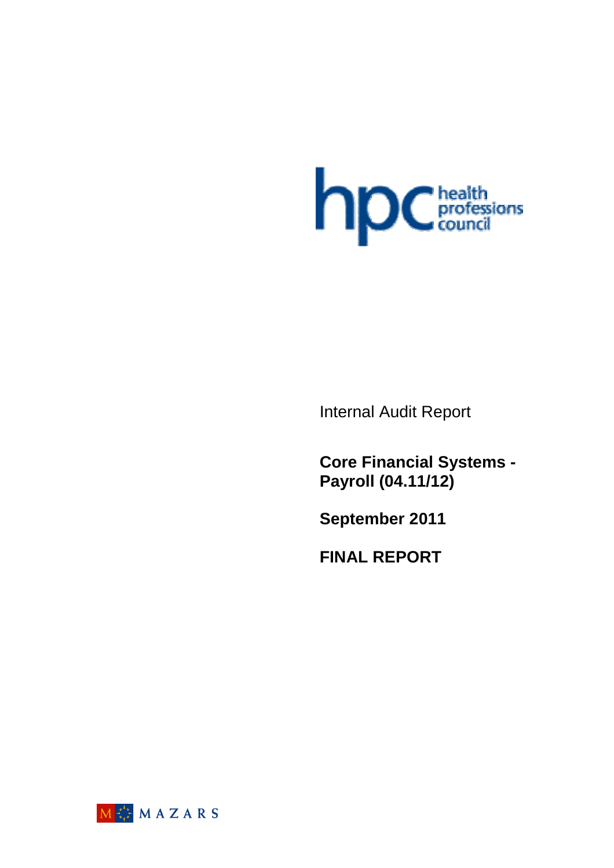

Internal Audit Report

**Core Financial Systems - Payroll (04.11/12)** 

**September 2011** 

**FINAL REPORT**

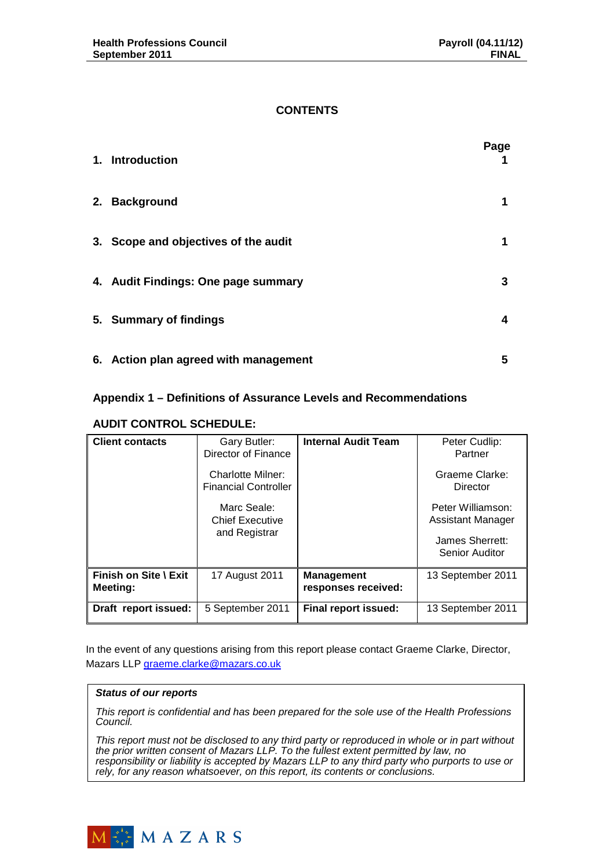## **CONTENTS**

| 1. Introduction                       | Page |
|---------------------------------------|------|
| 2. Background                         | 1    |
| 3. Scope and objectives of the audit  | 1    |
| 4. Audit Findings: One page summary   | 3    |
| 5. Summary of findings                | 4    |
| 6. Action plan agreed with management | 5    |

## **Appendix 1 – Definitions of Assurance Levels and Recommendations**

### **AUDIT CONTROL SCHEDULE:**

| <b>Client contacts</b>            | Gary Butler:<br>Director of Finance                    | <b>Internal Audit Team</b>               | Peter Cudlip:<br>Partner                                                           |
|-----------------------------------|--------------------------------------------------------|------------------------------------------|------------------------------------------------------------------------------------|
|                                   | Charlotte Milner:<br><b>Financial Controller</b>       |                                          | Graeme Clarke:<br>Director                                                         |
|                                   | Marc Seale:<br><b>Chief Executive</b><br>and Registrar |                                          | Peter Williamson:<br><b>Assistant Manager</b><br>James Sherrett:<br>Senior Auditor |
| Finish on Site \ Exit<br>Meeting: | 17 August 2011                                         | <b>Management</b><br>responses received: | 13 September 2011                                                                  |
| Draft report issued:              | 5 September 2011                                       | <b>Final report issued:</b>              | 13 September 2011                                                                  |

In the event of any questions arising from this report please contact Graeme Clarke, Director, Mazars LLP graeme.clarke@mazars.co.uk

#### **Status of our reports**

This report is confidential and has been prepared for the sole use of the Health Professions Council.

This report must not be disclosed to any third party or reproduced in whole or in part without the prior written consent of Mazars LLP. To the fullest extent permitted by law, no responsibility or liability is accepted by Mazars LLP to any third party who purports to use or rely, for any reason whatsoever, on this report, its contents or conclusions.

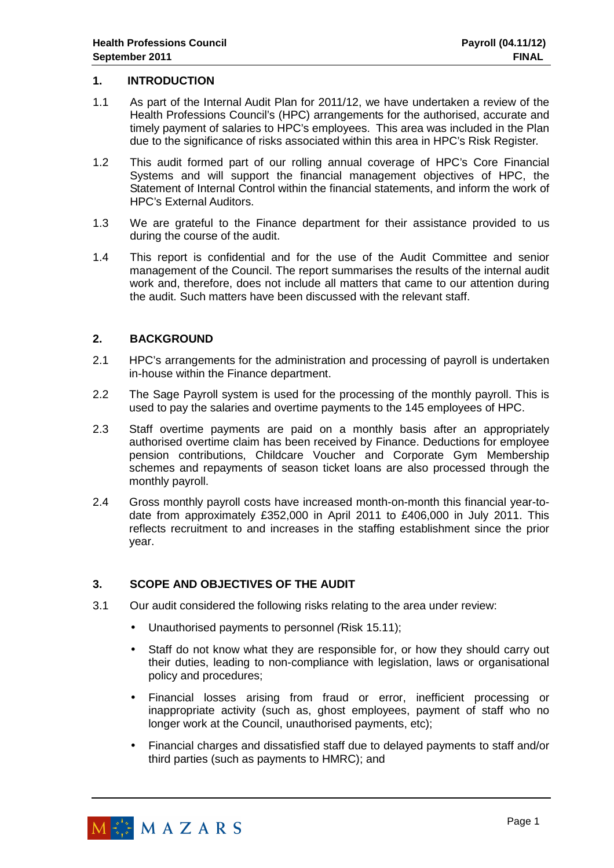### **1. INTRODUCTION**

- 1.1 As part of the Internal Audit Plan for 2011/12, we have undertaken a review of the Health Professions Council's (HPC) arrangements for the authorised, accurate and timely payment of salaries to HPC's employees. This area was included in the Plan due to the significance of risks associated within this area in HPC's Risk Register.
- 1.2 This audit formed part of our rolling annual coverage of HPC's Core Financial Systems and will support the financial management objectives of HPC, the Statement of Internal Control within the financial statements, and inform the work of HPC's External Auditors.
- 1.3 We are grateful to the Finance department for their assistance provided to us during the course of the audit.
- 1.4 This report is confidential and for the use of the Audit Committee and senior management of the Council. The report summarises the results of the internal audit work and, therefore, does not include all matters that came to our attention during the audit. Such matters have been discussed with the relevant staff.

## **2. BACKGROUND**

- 2.1 HPC's arrangements for the administration and processing of payroll is undertaken in-house within the Finance department.
- 2.2 The Sage Payroll system is used for the processing of the monthly payroll. This is used to pay the salaries and overtime payments to the 145 employees of HPC.
- 2.3 Staff overtime payments are paid on a monthly basis after an appropriately authorised overtime claim has been received by Finance. Deductions for employee pension contributions, Childcare Voucher and Corporate Gym Membership schemes and repayments of season ticket loans are also processed through the monthly payroll.
- 2.4 Gross monthly payroll costs have increased month-on-month this financial year-todate from approximately £352,000 in April 2011 to £406,000 in July 2011. This reflects recruitment to and increases in the staffing establishment since the prior year.

## **3. SCOPE AND OBJECTIVES OF THE AUDIT**

- 3.1 Our audit considered the following risks relating to the area under review:
	- Unauthorised payments to personnel (Risk 15.11);
	- Staff do not know what they are responsible for, or how they should carry out their duties, leading to non-compliance with legislation, laws or organisational policy and procedures;
	- Financial losses arising from fraud or error, inefficient processing or inappropriate activity (such as, ghost employees, payment of staff who no longer work at the Council, unauthorised payments, etc);
	- Financial charges and dissatisfied staff due to delayed payments to staff and/or third parties (such as payments to HMRC); and

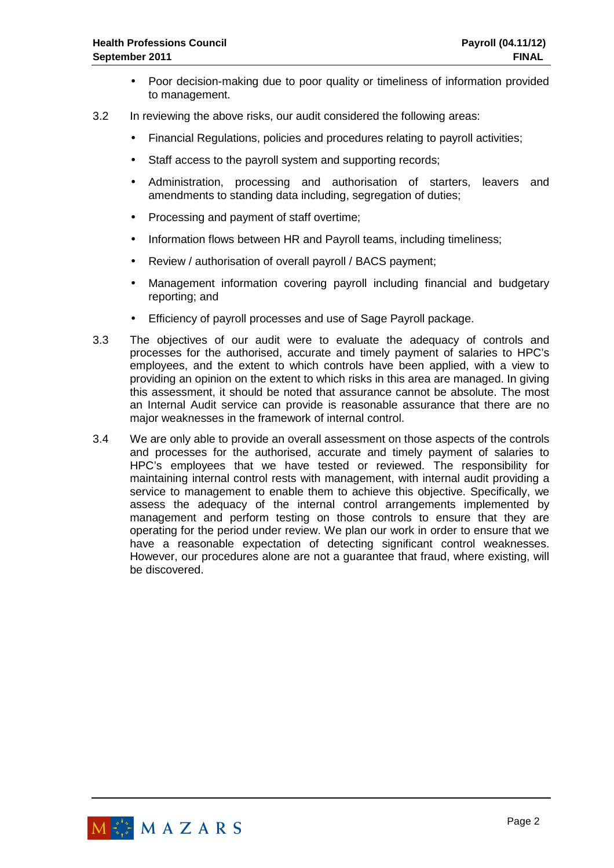- Poor decision-making due to poor quality or timeliness of information provided to management.
- 3.2 In reviewing the above risks, our audit considered the following areas:
	- Financial Regulations, policies and procedures relating to payroll activities;
	- Staff access to the payroll system and supporting records;
	- Administration, processing and authorisation of starters, leavers and amendments to standing data including, segregation of duties;
	- Processing and payment of staff overtime;
	- Information flows between HR and Payroll teams, including timeliness;
	- Review / authorisation of overall payroll / BACS payment;
	- Management information covering payroll including financial and budgetary reporting; and
	- Efficiency of payroll processes and use of Sage Payroll package.
- 3.3 The objectives of our audit were to evaluate the adequacy of controls and processes for the authorised, accurate and timely payment of salaries to HPC's employees, and the extent to which controls have been applied, with a view to providing an opinion on the extent to which risks in this area are managed. In giving this assessment, it should be noted that assurance cannot be absolute. The most an Internal Audit service can provide is reasonable assurance that there are no major weaknesses in the framework of internal control.
- 3.4 We are only able to provide an overall assessment on those aspects of the controls and processes for the authorised, accurate and timely payment of salaries to HPC's employees that we have tested or reviewed. The responsibility for maintaining internal control rests with management, with internal audit providing a service to management to enable them to achieve this objective. Specifically, we assess the adequacy of the internal control arrangements implemented by management and perform testing on those controls to ensure that they are operating for the period under review. We plan our work in order to ensure that we have a reasonable expectation of detecting significant control weaknesses. However, our procedures alone are not a guarantee that fraud, where existing, will be discovered.

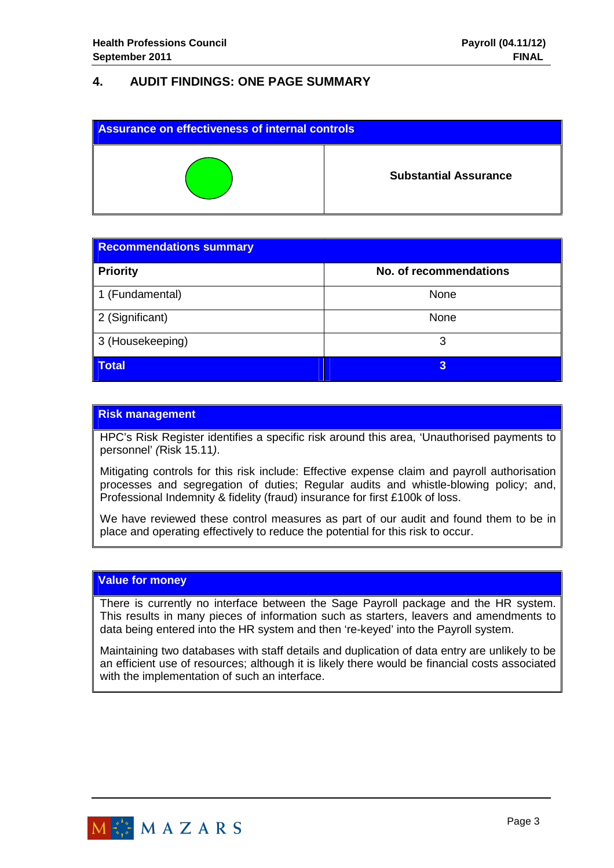# **4. AUDIT FINDINGS: ONE PAGE SUMMARY**

| <b>Assurance on effectiveness of internal controls</b> |                              |  |
|--------------------------------------------------------|------------------------------|--|
|                                                        | <b>Substantial Assurance</b> |  |

| <b>Recommendations summary</b> |                        |  |  |
|--------------------------------|------------------------|--|--|
| <b>Priority</b>                | No. of recommendations |  |  |
| 1 (Fundamental)                | None                   |  |  |
| 2 (Significant)                | None                   |  |  |
| 3 (Housekeeping)               | 3                      |  |  |
| <b>Total</b>                   | 3                      |  |  |

## **Risk management**

HPC's Risk Register identifies a specific risk around this area, 'Unauthorised payments to personnel' (Risk 15.11).

Mitigating controls for this risk include: Effective expense claim and payroll authorisation processes and segregation of duties; Regular audits and whistle-blowing policy; and, Professional Indemnity & fidelity (fraud) insurance for first £100k of loss.

We have reviewed these control measures as part of our audit and found them to be in place and operating effectively to reduce the potential for this risk to occur.

#### **Value for money**

There is currently no interface between the Sage Payroll package and the HR system. This results in many pieces of information such as starters, leavers and amendments to data being entered into the HR system and then 're-keyed' into the Payroll system.

Maintaining two databases with staff details and duplication of data entry are unlikely to be an efficient use of resources; although it is likely there would be financial costs associated with the implementation of such an interface.

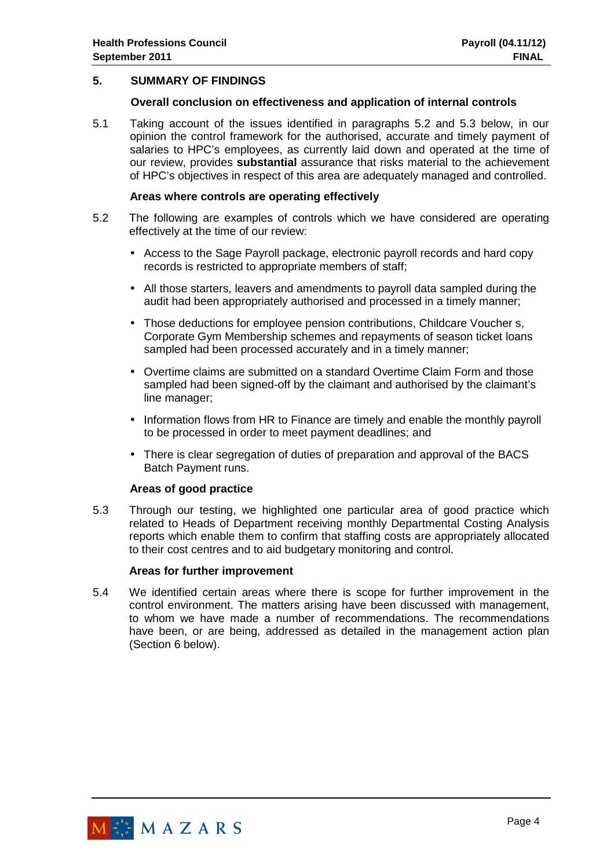### **5. SUMMARY OF FINDINGS**

#### **Overall conclusion on effectiveness and application of internal controls**

5.1 Taking account of the issues identified in paragraphs 5.2 and 5.3 below, in our opinion the control framework for the authorised, accurate and timely payment of salaries to HPC's employees, as currently laid down and operated at the time of our review, provides **substantial** assurance that risks material to the achievement of HPC's objectives in respect of this area are adequately managed and controlled.

#### **Areas where controls are operating effectively**

- 5.2 The following are examples of controls which we have considered are operating effectively at the time of our review:
	- Access to the Sage Payroll package, electronic payroll records and hard copy records is restricted to appropriate members of staff;
	- All those starters, leavers and amendments to payroll data sampled during the audit had been appropriately authorised and processed in a timely manner;
	- Those deductions for employee pension contributions, Childcare Voucher s, Corporate Gym Membership schemes and repayments of season ticket loans sampled had been processed accurately and in a timely manner;
	- Overtime claims are submitted on a standard Overtime Claim Form and those sampled had been signed-off by the claimant and authorised by the claimant's line manager;
	- Information flows from HR to Finance are timely and enable the monthly payroll to be processed in order to meet payment deadlines; and
	- There is clear segregation of duties of preparation and approval of the BACS Batch Payment runs.

#### **Areas of good practice**

5.3 Through our testing, we highlighted one particular area of good practice which related to Heads of Department receiving monthly Departmental Costing Analysis reports which enable them to confirm that staffing costs are appropriately allocated to their cost centres and to aid budgetary monitoring and control.

#### **Areas for further improvement**

5.4 We identified certain areas where there is scope for further improvement in the control environment. The matters arising have been discussed with management, to whom we have made a number of recommendations. The recommendations have been, or are being, addressed as detailed in the management action plan (Section 6 below).

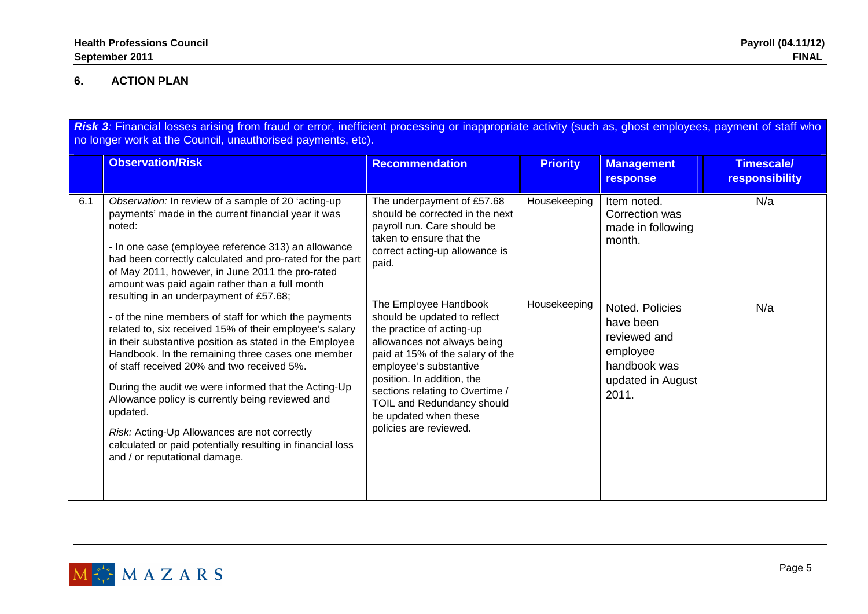## **6. ACTION PLAN**

Risk 3: Financial losses arising from fraud or error, inefficient processing or inappropriate activity (such as, ghost employees, payment of staff who no longer work at the Council, unauthorised payments, etc).

|     | <b>Observation/Risk</b>                                                                                                                                                                                                                                                                                                                                                                                                                                                                                                                                                                                                                                                                                                                                                                                                                                                                                                                           | <b>Recommendation</b>                                                                                                                                                                                                                                                                                                                                                                                                                                                                                    | <b>Priority</b>              | <b>Management</b><br>response                                                                                                                                          | <b>Timescale/</b><br><b>responsibility</b> |
|-----|---------------------------------------------------------------------------------------------------------------------------------------------------------------------------------------------------------------------------------------------------------------------------------------------------------------------------------------------------------------------------------------------------------------------------------------------------------------------------------------------------------------------------------------------------------------------------------------------------------------------------------------------------------------------------------------------------------------------------------------------------------------------------------------------------------------------------------------------------------------------------------------------------------------------------------------------------|----------------------------------------------------------------------------------------------------------------------------------------------------------------------------------------------------------------------------------------------------------------------------------------------------------------------------------------------------------------------------------------------------------------------------------------------------------------------------------------------------------|------------------------------|------------------------------------------------------------------------------------------------------------------------------------------------------------------------|--------------------------------------------|
| 6.1 | Observation: In review of a sample of 20 'acting-up<br>payments' made in the current financial year it was<br>noted:<br>- In one case (employee reference 313) an allowance<br>had been correctly calculated and pro-rated for the part<br>of May 2011, however, in June 2011 the pro-rated<br>amount was paid again rather than a full month<br>resulting in an underpayment of £57.68;<br>- of the nine members of staff for which the payments<br>related to, six received 15% of their employee's salary<br>in their substantive position as stated in the Employee<br>Handbook. In the remaining three cases one member<br>of staff received 20% and two received 5%.<br>During the audit we were informed that the Acting-Up<br>Allowance policy is currently being reviewed and<br>updated.<br>Risk: Acting-Up Allowances are not correctly<br>calculated or paid potentially resulting in financial loss<br>and / or reputational damage. | The underpayment of £57.68<br>should be corrected in the next<br>payroll run. Care should be<br>taken to ensure that the<br>correct acting-up allowance is<br>paid.<br>The Employee Handbook<br>should be updated to reflect<br>the practice of acting-up<br>allowances not always being<br>paid at 15% of the salary of the<br>employee's substantive<br>position. In addition, the<br>sections relating to Overtime /<br>TOIL and Redundancy should<br>be updated when these<br>policies are reviewed. | Housekeeping<br>Housekeeping | Item noted.<br>Correction was<br>made in following<br>month.<br>Noted. Policies<br>have been<br>reviewed and<br>employee<br>handbook was<br>updated in August<br>2011. | N/a<br>N/a                                 |

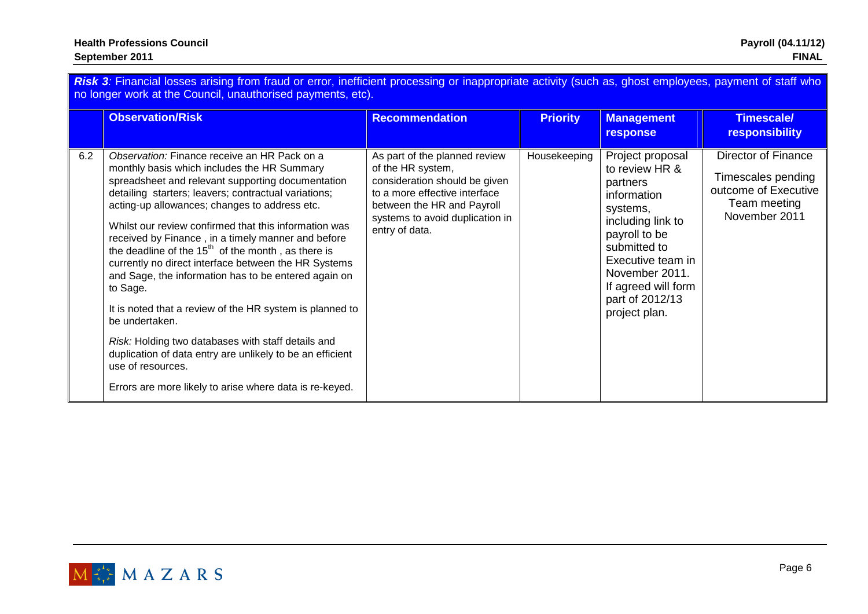|     | Risk 3: Financial losses arising from fraud or error, inefficient processing or inappropriate activity (such as, ghost employees, payment of staff who<br>no longer work at the Council, unauthorised payments, etc).<br><b>Observation/Risk</b>                                                                                                                                                                                                                                                                                                                                                                                                                                                                                                                                                                                              | <b>Recommendation</b>                                                                                                                                                                                   | <b>Priority</b> | <b>Management</b><br>response                                                                                                                                                                                                     | <b>Timescale/</b><br><b>responsibility</b>                                                         |
|-----|-----------------------------------------------------------------------------------------------------------------------------------------------------------------------------------------------------------------------------------------------------------------------------------------------------------------------------------------------------------------------------------------------------------------------------------------------------------------------------------------------------------------------------------------------------------------------------------------------------------------------------------------------------------------------------------------------------------------------------------------------------------------------------------------------------------------------------------------------|---------------------------------------------------------------------------------------------------------------------------------------------------------------------------------------------------------|-----------------|-----------------------------------------------------------------------------------------------------------------------------------------------------------------------------------------------------------------------------------|----------------------------------------------------------------------------------------------------|
| 6.2 | Observation: Finance receive an HR Pack on a<br>monthly basis which includes the HR Summary<br>spreadsheet and relevant supporting documentation<br>detailing starters; leavers; contractual variations;<br>acting-up allowances; changes to address etc.<br>Whilst our review confirmed that this information was<br>received by Finance, in a timely manner and before<br>the deadline of the $15th$ of the month, as there is<br>currently no direct interface between the HR Systems<br>and Sage, the information has to be entered again on<br>to Sage.<br>It is noted that a review of the HR system is planned to<br>be undertaken.<br>Risk: Holding two databases with staff details and<br>duplication of data entry are unlikely to be an efficient<br>use of resources.<br>Errors are more likely to arise where data is re-keyed. | As part of the planned review<br>of the HR system,<br>consideration should be given<br>to a more effective interface<br>between the HR and Payroll<br>systems to avoid duplication in<br>entry of data. | Housekeeping    | Project proposal<br>to review HR &<br>partners<br>information<br>systems,<br>including link to<br>payroll to be<br>submitted to<br>Executive team in<br>November 2011.<br>If agreed will form<br>part of 2012/13<br>project plan. | Director of Finance<br>Timescales pending<br>outcome of Executive<br>Team meeting<br>November 2011 |